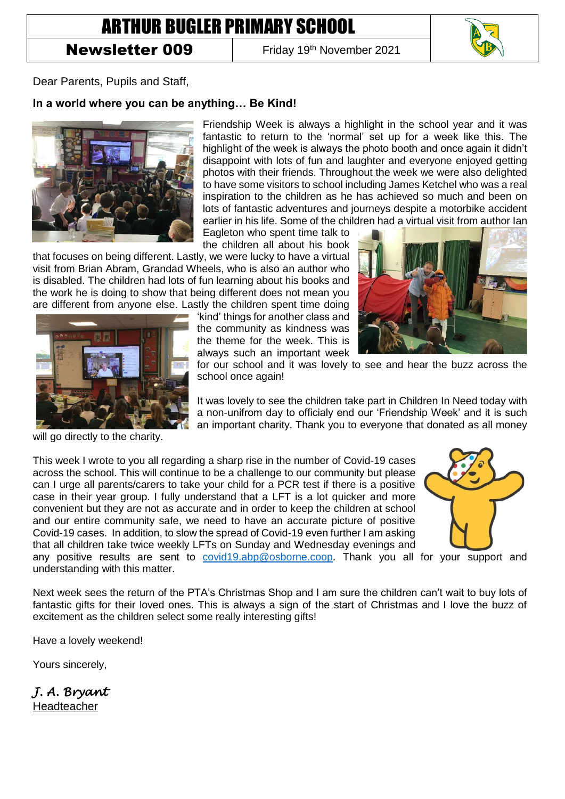## ARTHUR BUGLER PRIMARY SCHOOL

## Newsletter 009

Friday 19<sup>th</sup> November 2021



Dear Parents, Pupils and Staff,

## **In a world where you can be anything… Be Kind!**



Friendship Week is always a highlight in the school year and it was fantastic to return to the 'normal' set up for a week like this. The highlight of the week is always the photo booth and once again it didn't disappoint with lots of fun and laughter and everyone enjoyed getting photos with their friends. Throughout the week we were also delighted to have some visitors to school including James Ketchel who was a real inspiration to the children as he has achieved so much and been on lots of fantastic adventures and journeys despite a motorbike accident earlier in his life. Some of the children had a virtual visit from author Ian

Eagleton who spent time talk to the children all about his book

that focuses on being different. Lastly, we were lucky to have a virtual visit from Brian Abram, Grandad Wheels, who is also an author who is disabled. The children had lots of fun learning about his books and the work he is doing to show that being different does not mean you are different from anyone else. Lastly the children spent time doing

> 'kind' things for another class and the community as kindness was the theme for the week. This is always such an important week





for our school and it was lovely to see and hear the buzz across the school once again!

It was lovely to see the children take part in Children In Need today with a non-unifrom day to officialy end our 'Friendship Week' and it is such an important charity. Thank you to everyone that donated as all money

will go directly to the charity.

This week I wrote to you all regarding a sharp rise in the number of Covid-19 cases across the school. This will continue to be a challenge to our community but please can I urge all parents/carers to take your child for a PCR test if there is a positive case in their year group. I fully understand that a LFT is a lot quicker and more convenient but they are not as accurate and in order to keep the children at school and our entire community safe, we need to have an accurate picture of positive Covid-19 cases. In addition, to slow the spread of Covid-19 even further I am asking that all children take twice weekly LFTs on Sunday and Wednesday evenings and



any positive results are sent to [covid19.abp@osborne.coop.](mailto:covid19.abp@osborne.coop) Thank you all for your support and understanding with this matter.

Next week sees the return of the PTA's Christmas Shop and I am sure the children can't wait to buy lots of fantastic gifts for their loved ones. This is always a sign of the start of Christmas and I love the buzz of excitement as the children select some really interesting gifts!

Have a lovely weekend!

Yours sincerely,

*J. A. Bryant*  Headteacher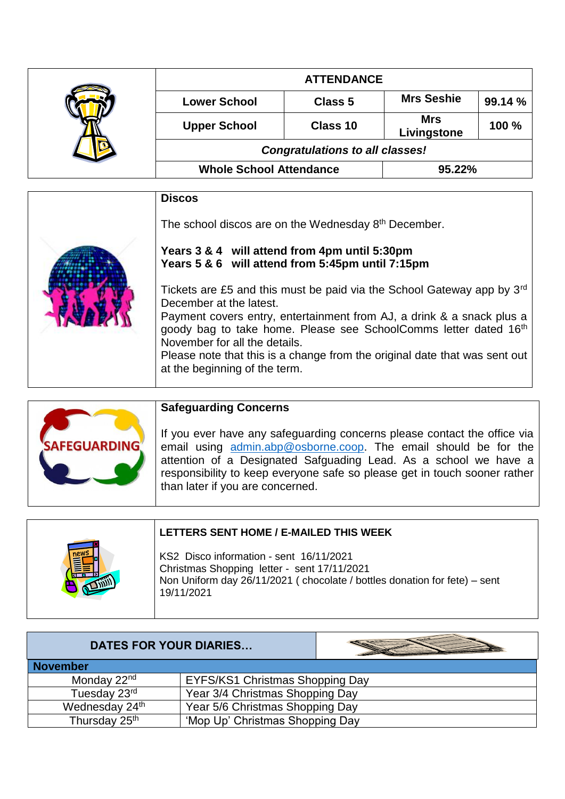|  | <b>ATTENDANCE</b>                      |          |                           |         |
|--|----------------------------------------|----------|---------------------------|---------|
|  | <b>Lower School</b>                    | Class 5  | <b>Mrs Seshie</b>         | 99.14 % |
|  | <b>Upper School</b>                    | Class 10 | <b>Mrs</b><br>Livingstone | 100 %   |
|  | <b>Congratulations to all classes!</b> |          |                           |         |
|  | <b>Whole School Attendance</b>         |          | 95.22%                    |         |

| <b>Discos</b>                                                                                                                                                                                                                                                                                                                                                                                                          |
|------------------------------------------------------------------------------------------------------------------------------------------------------------------------------------------------------------------------------------------------------------------------------------------------------------------------------------------------------------------------------------------------------------------------|
| The school discos are on the Wednesday 8th December.                                                                                                                                                                                                                                                                                                                                                                   |
| Years 3 & 4 will attend from 4pm until 5:30pm<br>Years 5 & 6 will attend from 5:45pm until 7:15pm                                                                                                                                                                                                                                                                                                                      |
| Tickets are £5 and this must be paid via the School Gateway app by 3 <sup>rd</sup><br>December at the latest.<br>Payment covers entry, entertainment from AJ, a drink & a snack plus a<br>goody bag to take home. Please see SchoolComms letter dated 16 <sup>th</sup><br>November for all the details.<br>Please note that this is a change from the original date that was sent out<br>at the beginning of the term. |

| <b>SAFEGUARDING</b> | <b>Safeguarding Concerns</b><br>If you ever have any safeguarding concerns please contact the office via<br>email using admin.abp@osborne.coop. The email should be for the<br>attention of a Designated Safguading Lead. As a school we have a<br>responsibility to keep everyone safe so please get in touch sooner rather<br>than later if you are concerned. |
|---------------------|------------------------------------------------------------------------------------------------------------------------------------------------------------------------------------------------------------------------------------------------------------------------------------------------------------------------------------------------------------------|
|---------------------|------------------------------------------------------------------------------------------------------------------------------------------------------------------------------------------------------------------------------------------------------------------------------------------------------------------------------------------------------------------|

| LETTERS SENT HOME / E-MAILED THIS WEEK                                                                                                                                            |
|-----------------------------------------------------------------------------------------------------------------------------------------------------------------------------------|
| KS2 Disco information - sent 16/11/2021<br>Christmas Shopping letter - sent 17/11/2021<br>Non Uniform day 26/11/2021 (chocolate / bottles donation for fete) - sent<br>19/11/2021 |
|                                                                                                                                                                                   |

| <b>DATES FOR YOUR DIARIES</b> |                                 |  |
|-------------------------------|---------------------------------|--|
| <b>November</b>               |                                 |  |
| Monday 22 <sup>nd</sup>       | EYFS/KS1 Christmas Shopping Day |  |
| Tuesday 23rd                  | Year 3/4 Christmas Shopping Day |  |
| Wednesday 24th                | Year 5/6 Christmas Shopping Day |  |
| Thursday 25 <sup>th</sup>     | 'Mop Up' Christmas Shopping Day |  |